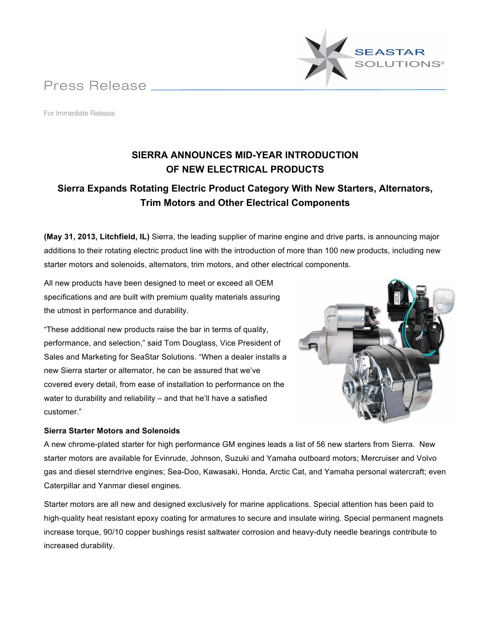Press Release



For Immediate Release

# **SIERRA ANNOUNCES MID-YEAR INTRODUCTION OF NEW ELECTRICAL PRODUCTS**

# **Sierra Expands Rotating Electric Product Category With New Starters, Alternators, Trim Motors and Other Electrical Components**

**(May 31, 2013, Litchfield, IL)** Sierra, the leading supplier of marine engine and drive parts, is announcing major additions to their rotating electric product line with the introduction of more than 100 new products, including new starter motors and solenoids, alternators, trim motors, and other electrical components.

All new products have been designed to meet or exceed all OEM specifications and are built with premium quality materials assuring the utmost in performance and durability.

"These additional new products raise the bar in terms of quality, performance, and selection," said Tom Douglass, Vice President of Sales and Marketing for SeaStar Solutions. "When a dealer installs a new Sierra starter or alternator, he can be assured that we've covered every detail, from ease of installation to performance on the water to durability and reliability – and that he'll have a satisfied customer."

# **Sierra Starter Motors and Solenoids**



A new chrome-plated starter for high performance GM engines leads a list of 56 new starters from Sierra. New starter motors are available for Evinrude, Johnson, Suzuki and Yamaha outboard motors; Mercruiser and Volvo gas and diesel sterndrive engines; Sea-Doo, Kawasaki, Honda, Arctic Cat, and Yamaha personal watercraft; even Caterpillar and Yanmar diesel engines.

Starter motors are all new and designed exclusively for marine applications. Special attention has been paid to high-quality heat resistant epoxy coating for armatures to secure and insulate wiring. Special permanent magnets increase torque, 90/10 copper bushings resist saltwater corrosion and heavy-duty needle bearings contribute to increased durability.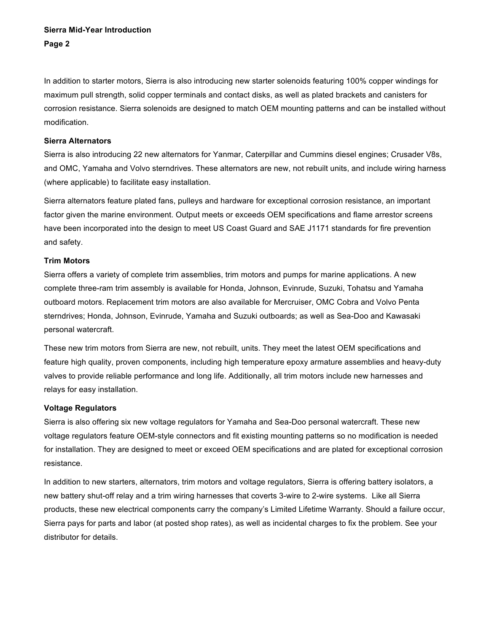## **Sierra Mid-Year Introduction Page 2**

In addition to starter motors, Sierra is also introducing new starter solenoids featuring 100% copper windings for maximum pull strength, solid copper terminals and contact disks, as well as plated brackets and canisters for corrosion resistance. Sierra solenoids are designed to match OEM mounting patterns and can be installed without modification.

## **Sierra Alternators**

Sierra is also introducing 22 new alternators for Yanmar, Caterpillar and Cummins diesel engines; Crusader V8s, and OMC, Yamaha and Volvo sterndrives. These alternators are new, not rebuilt units, and include wiring harness (where applicable) to facilitate easy installation.

Sierra alternators feature plated fans, pulleys and hardware for exceptional corrosion resistance, an important factor given the marine environment. Output meets or exceeds OEM specifications and flame arrestor screens have been incorporated into the design to meet US Coast Guard and SAE J1171 standards for fire prevention and safety.

#### **Trim Motors**

Sierra offers a variety of complete trim assemblies, trim motors and pumps for marine applications. A new complete three-ram trim assembly is available for Honda, Johnson, Evinrude, Suzuki, Tohatsu and Yamaha outboard motors. Replacement trim motors are also available for Mercruiser, OMC Cobra and Volvo Penta sterndrives; Honda, Johnson, Evinrude, Yamaha and Suzuki outboards; as well as Sea-Doo and Kawasaki personal watercraft.

These new trim motors from Sierra are new, not rebuilt, units. They meet the latest OEM specifications and feature high quality, proven components, including high temperature epoxy armature assemblies and heavy-duty valves to provide reliable performance and long life. Additionally, all trim motors include new harnesses and relays for easy installation.

## **Voltage Regulators**

Sierra is also offering six new voltage regulators for Yamaha and Sea-Doo personal watercraft. These new voltage regulators feature OEM-style connectors and fit existing mounting patterns so no modification is needed for installation. They are designed to meet or exceed OEM specifications and are plated for exceptional corrosion resistance.

In addition to new starters, alternators, trim motors and voltage regulators, Sierra is offering battery isolators, a new battery shut-off relay and a trim wiring harnesses that coverts 3-wire to 2-wire systems. Like all Sierra products, these new electrical components carry the company's Limited Lifetime Warranty. Should a failure occur, Sierra pays for parts and labor (at posted shop rates), as well as incidental charges to fix the problem. See your distributor for details.